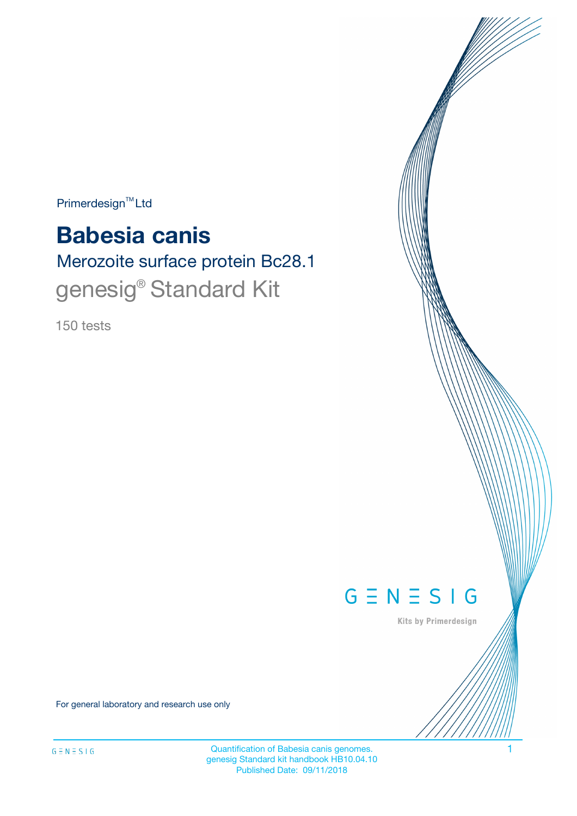$Primerdesign^{\text{TM}}Ltd$ 

# **Babesia canis**

Merozoite surface protein Bc28.1 genesig<sup>®</sup> Standard Kit

150 tests



Kits by Primerdesign

For general laboratory and research use only

Quantification of Babesia canis genomes. 1 genesig Standard kit handbook HB10.04.10 Published Date: 09/11/2018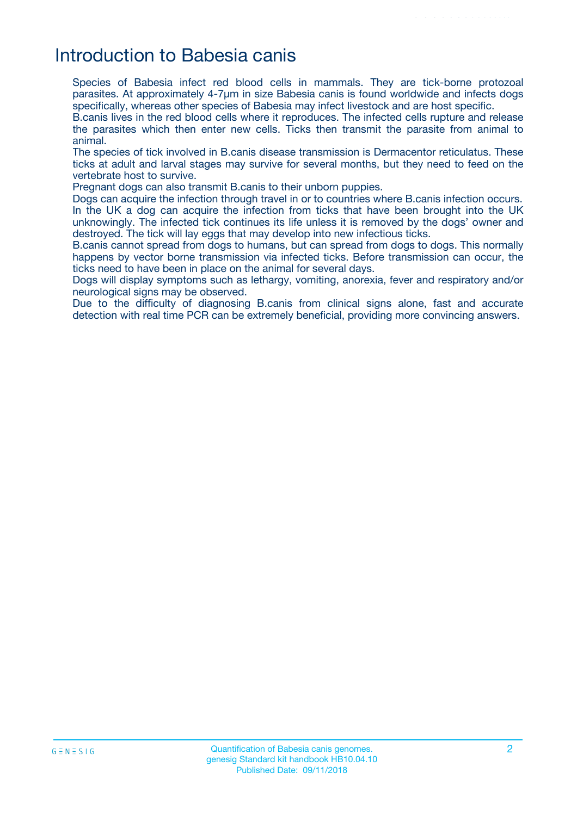# Introduction to Babesia canis

Species of Babesia infect red blood cells in mammals. They are tick-borne protozoal parasites. At approximately 4-7µm in size Babesia canis is found worldwide and infects dogs specifically, whereas other species of Babesia may infect livestock and are host specific.

B.canis lives in the red blood cells where it reproduces. The infected cells rupture and release the parasites which then enter new cells. Ticks then transmit the parasite from animal to animal.

The species of tick involved in B.canis disease transmission is Dermacentor reticulatus. These ticks at adult and larval stages may survive for several months, but they need to feed on the vertebrate host to survive.

Pregnant dogs can also transmit B.canis to their unborn puppies.

Dogs can acquire the infection through travel in or to countries where B.canis infection occurs. In the UK a dog can acquire the infection from ticks that have been brought into the UK unknowingly. The infected tick continues its life unless it is removed by the dogs' owner and destroyed. The tick will lay eggs that may develop into new infectious ticks.

B.canis cannot spread from dogs to humans, but can spread from dogs to dogs. This normally happens by vector borne transmission via infected ticks. Before transmission can occur, the ticks need to have been in place on the animal for several days.

Dogs will display symptoms such as lethargy, vomiting, anorexia, fever and respiratory and/or neurological signs may be observed.

Due to the difficulty of diagnosing B.canis from clinical signs alone, fast and accurate detection with real time PCR can be extremely beneficial, providing more convincing answers.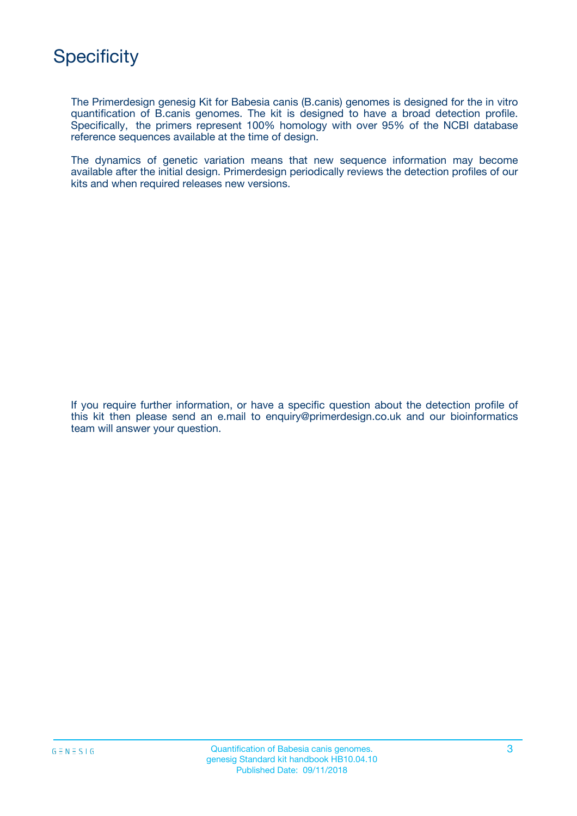

The Primerdesign genesig Kit for Babesia canis (B.canis) genomes is designed for the in vitro quantification of B.canis genomes. The kit is designed to have a broad detection profile. Specifically, the primers represent 100% homology with over 95% of the NCBI database reference sequences available at the time of design.

The dynamics of genetic variation means that new sequence information may become available after the initial design. Primerdesign periodically reviews the detection profiles of our kits and when required releases new versions.

If you require further information, or have a specific question about the detection profile of this kit then please send an e.mail to enquiry@primerdesign.co.uk and our bioinformatics team will answer your question.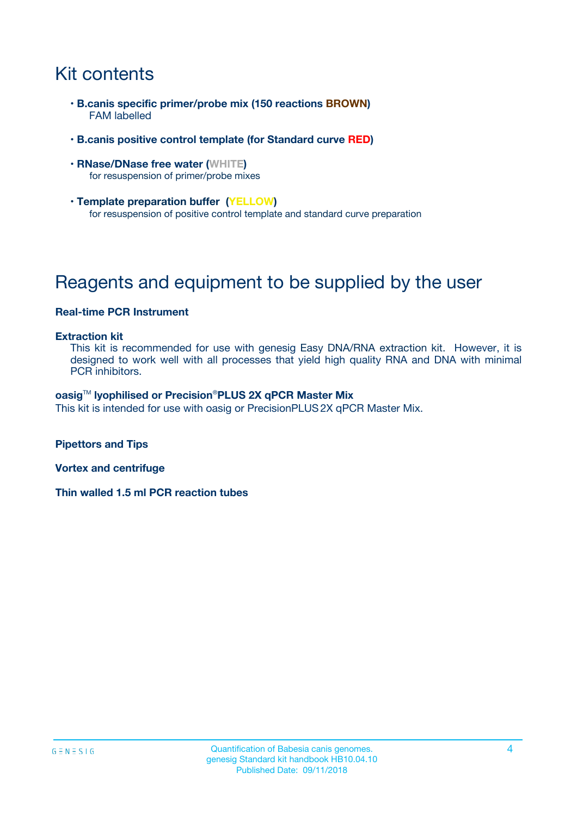# Kit contents

- **B.canis specific primer/probe mix (150 reactions BROWN)** FAM labelled
- **B.canis positive control template (for Standard curve RED)**
- **RNase/DNase free water (WHITE)** for resuspension of primer/probe mixes
- **Template preparation buffer (YELLOW)** for resuspension of positive control template and standard curve preparation

# Reagents and equipment to be supplied by the user

#### **Real-time PCR Instrument**

#### **Extraction kit**

This kit is recommended for use with genesig Easy DNA/RNA extraction kit. However, it is designed to work well with all processes that yield high quality RNA and DNA with minimal PCR inhibitors.

#### **oasig**TM **lyophilised or Precision**®**PLUS 2X qPCR Master Mix**

This kit is intended for use with oasig or PrecisionPLUS2X qPCR Master Mix.

**Pipettors and Tips**

**Vortex and centrifuge**

**Thin walled 1.5 ml PCR reaction tubes**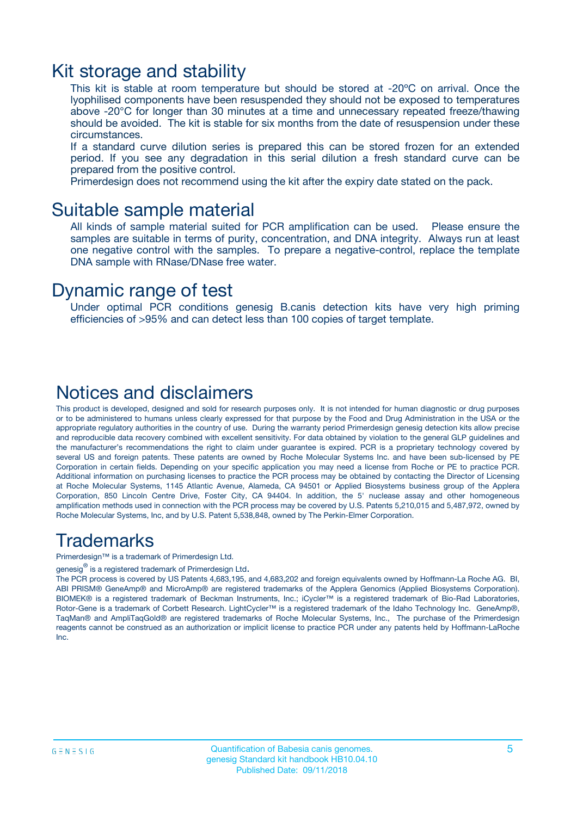### Kit storage and stability

This kit is stable at room temperature but should be stored at -20ºC on arrival. Once the lyophilised components have been resuspended they should not be exposed to temperatures above -20°C for longer than 30 minutes at a time and unnecessary repeated freeze/thawing should be avoided. The kit is stable for six months from the date of resuspension under these circumstances.

If a standard curve dilution series is prepared this can be stored frozen for an extended period. If you see any degradation in this serial dilution a fresh standard curve can be prepared from the positive control.

Primerdesign does not recommend using the kit after the expiry date stated on the pack.

### Suitable sample material

All kinds of sample material suited for PCR amplification can be used. Please ensure the samples are suitable in terms of purity, concentration, and DNA integrity. Always run at least one negative control with the samples. To prepare a negative-control, replace the template DNA sample with RNase/DNase free water.

### Dynamic range of test

Under optimal PCR conditions genesig B.canis detection kits have very high priming efficiencies of >95% and can detect less than 100 copies of target template.

### Notices and disclaimers

This product is developed, designed and sold for research purposes only. It is not intended for human diagnostic or drug purposes or to be administered to humans unless clearly expressed for that purpose by the Food and Drug Administration in the USA or the appropriate regulatory authorities in the country of use. During the warranty period Primerdesign genesig detection kits allow precise and reproducible data recovery combined with excellent sensitivity. For data obtained by violation to the general GLP guidelines and the manufacturer's recommendations the right to claim under guarantee is expired. PCR is a proprietary technology covered by several US and foreign patents. These patents are owned by Roche Molecular Systems Inc. and have been sub-licensed by PE Corporation in certain fields. Depending on your specific application you may need a license from Roche or PE to practice PCR. Additional information on purchasing licenses to practice the PCR process may be obtained by contacting the Director of Licensing at Roche Molecular Systems, 1145 Atlantic Avenue, Alameda, CA 94501 or Applied Biosystems business group of the Applera Corporation, 850 Lincoln Centre Drive, Foster City, CA 94404. In addition, the 5' nuclease assay and other homogeneous amplification methods used in connection with the PCR process may be covered by U.S. Patents 5,210,015 and 5,487,972, owned by Roche Molecular Systems, Inc, and by U.S. Patent 5,538,848, owned by The Perkin-Elmer Corporation.

### Trademarks

Primerdesign™ is a trademark of Primerdesign Ltd.

genesig $^\circledR$  is a registered trademark of Primerdesign Ltd.

The PCR process is covered by US Patents 4,683,195, and 4,683,202 and foreign equivalents owned by Hoffmann-La Roche AG. BI, ABI PRISM® GeneAmp® and MicroAmp® are registered trademarks of the Applera Genomics (Applied Biosystems Corporation). BIOMEK® is a registered trademark of Beckman Instruments, Inc.; iCycler™ is a registered trademark of Bio-Rad Laboratories, Rotor-Gene is a trademark of Corbett Research. LightCycler™ is a registered trademark of the Idaho Technology Inc. GeneAmp®, TaqMan® and AmpliTaqGold® are registered trademarks of Roche Molecular Systems, Inc., The purchase of the Primerdesign reagents cannot be construed as an authorization or implicit license to practice PCR under any patents held by Hoffmann-LaRoche Inc.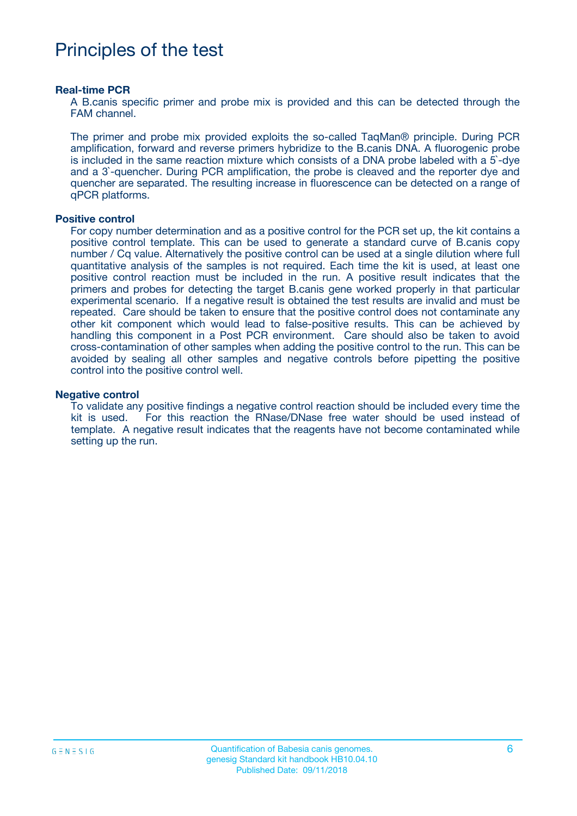# Principles of the test

#### **Real-time PCR**

A B.canis specific primer and probe mix is provided and this can be detected through the FAM channel.

The primer and probe mix provided exploits the so-called TaqMan® principle. During PCR amplification, forward and reverse primers hybridize to the B.canis DNA. A fluorogenic probe is included in the same reaction mixture which consists of a DNA probe labeled with a 5`-dye and a 3`-quencher. During PCR amplification, the probe is cleaved and the reporter dye and quencher are separated. The resulting increase in fluorescence can be detected on a range of qPCR platforms.

#### **Positive control**

For copy number determination and as a positive control for the PCR set up, the kit contains a positive control template. This can be used to generate a standard curve of B.canis copy number / Cq value. Alternatively the positive control can be used at a single dilution where full quantitative analysis of the samples is not required. Each time the kit is used, at least one positive control reaction must be included in the run. A positive result indicates that the primers and probes for detecting the target B.canis gene worked properly in that particular experimental scenario. If a negative result is obtained the test results are invalid and must be repeated. Care should be taken to ensure that the positive control does not contaminate any other kit component which would lead to false-positive results. This can be achieved by handling this component in a Post PCR environment. Care should also be taken to avoid cross-contamination of other samples when adding the positive control to the run. This can be avoided by sealing all other samples and negative controls before pipetting the positive control into the positive control well.

#### **Negative control**

To validate any positive findings a negative control reaction should be included every time the kit is used. For this reaction the RNase/DNase free water should be used instead of template. A negative result indicates that the reagents have not become contaminated while setting up the run.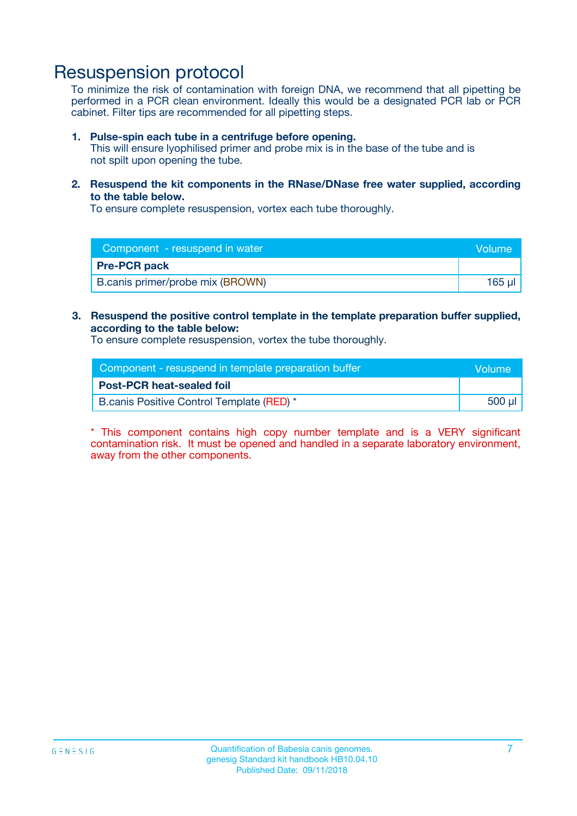### Resuspension protocol

To minimize the risk of contamination with foreign DNA, we recommend that all pipetting be performed in a PCR clean environment. Ideally this would be a designated PCR lab or PCR cabinet. Filter tips are recommended for all pipetting steps.

#### **1. Pulse-spin each tube in a centrifuge before opening.**

This will ensure lyophilised primer and probe mix is in the base of the tube and is not spilt upon opening the tube.

**2. Resuspend the kit components in the RNase/DNase free water supplied, according to the table below.**

To ensure complete resuspension, vortex each tube thoroughly.

| Component - resuspend in water   | Volume |
|----------------------------------|--------|
| <b>Pre-PCR pack</b>              |        |
| B.canis primer/probe mix (BROWN) | 165 µl |

### **3. Resuspend the positive control template in the template preparation buffer supplied, according to the table below:**

To ensure complete resuspension, vortex the tube thoroughly.

| Component - resuspend in template preparation buffer |        |  |
|------------------------------------------------------|--------|--|
| <b>Post-PCR heat-sealed foil</b>                     |        |  |
| B.canis Positive Control Template (RED) *            | 500 µl |  |

\* This component contains high copy number template and is a VERY significant contamination risk. It must be opened and handled in a separate laboratory environment, away from the other components.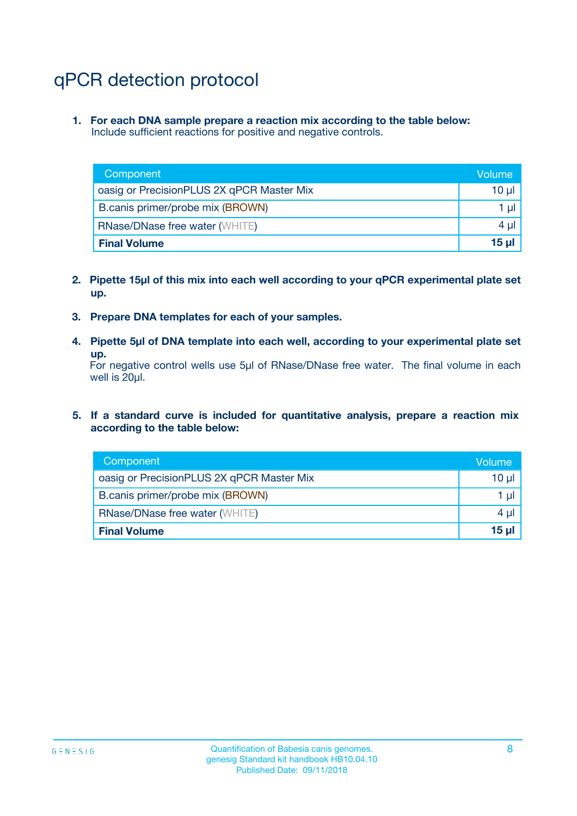# qPCR detection protocol

**1. For each DNA sample prepare a reaction mix according to the table below:** Include sufficient reactions for positive and negative controls.

| Component                                 | Volume           |
|-------------------------------------------|------------------|
| oasig or PrecisionPLUS 2X qPCR Master Mix | 10 $\mu$         |
| B.canis primer/probe mix (BROWN)          | 1 $\mu$          |
| <b>RNase/DNase free water (WHITE)</b>     | $4 \mu$          |
| <b>Final Volume</b>                       | 15 <sub>ul</sub> |

- **2. Pipette 15µl of this mix into each well according to your qPCR experimental plate set up.**
- **3. Prepare DNA templates for each of your samples.**
- **4. Pipette 5µl of DNA template into each well, according to your experimental plate set up.**

For negative control wells use 5µl of RNase/DNase free water. The final volume in each well is 20µl.

**5. If a standard curve is included for quantitative analysis, prepare a reaction mix according to the table below:**

| Component                                 | Volume   |
|-------------------------------------------|----------|
| oasig or PrecisionPLUS 2X qPCR Master Mix | 10 µl    |
| B.canis primer/probe mix (BROWN)          | 1 µI     |
| <b>RNase/DNase free water (WHITE)</b>     | $4 \mu$  |
| <b>Final Volume</b>                       | $15 \mu$ |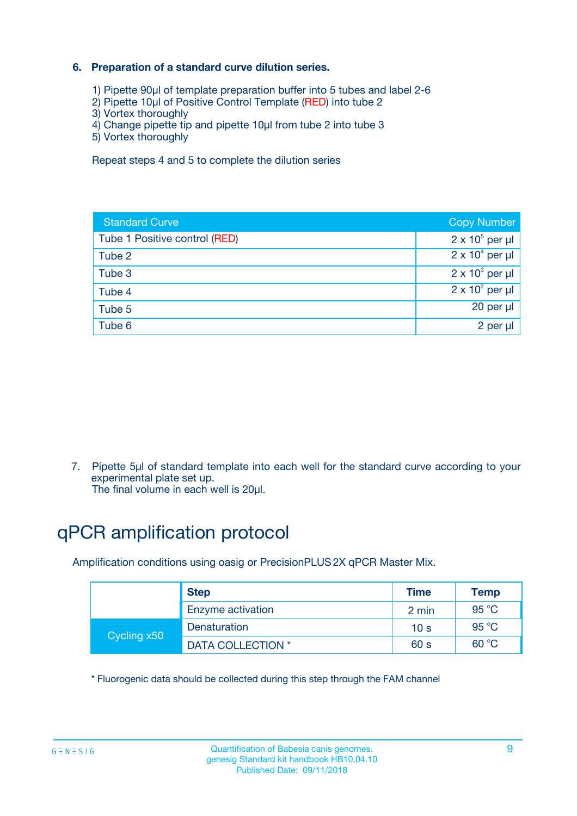### **6. Preparation of a standard curve dilution series.**

- 1) Pipette 90µl of template preparation buffer into 5 tubes and label 2-6
- 2) Pipette 10µl of Positive Control Template (RED) into tube 2
- 3) Vortex thoroughly
- 4) Change pipette tip and pipette 10µl from tube 2 into tube 3
- 5) Vortex thoroughly

Repeat steps 4 and 5 to complete the dilution series

| <b>Standard Curve</b>         | <b>Copy Number</b>     |
|-------------------------------|------------------------|
| Tube 1 Positive control (RED) | $2 \times 10^5$ per µl |
| Tube 2                        | $2 \times 10^4$ per µl |
| Tube 3                        | $2 \times 10^3$ per µl |
| Tube 4                        | $2 \times 10^2$ per µl |
| Tube 5                        | 20 per µl              |
| Tube 6                        | 2 per ul               |

7. Pipette 5µl of standard template into each well for the standard curve according to your experimental plate set up.

The final volume in each well is 20µl.

# qPCR amplification protocol

Amplification conditions using oasig or PrecisionPLUS2X qPCR Master Mix.

|             | <b>Step</b>       | <b>Time</b>     | Temp    |
|-------------|-------------------|-----------------|---------|
|             | Enzyme activation | 2 min           | 95 °C   |
| Cycling x50 | Denaturation      | 10 <sub>s</sub> | 95 $°C$ |
|             | DATA COLLECTION * | 60 s            | 60 °C   |

\* Fluorogenic data should be collected during this step through the FAM channel